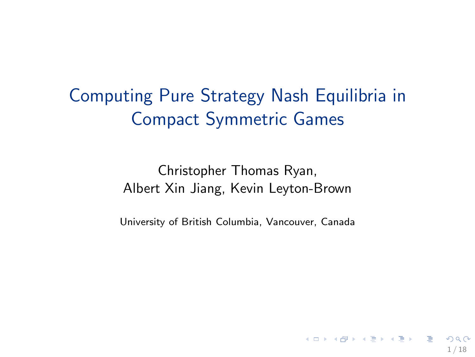Computing Pure Strategy Nash Equilibria in Compact Symmetric Games

> Christopher Thomas Ryan, Albert Xin Jiang, Kevin Leyton-Brown

University of British Columbia, Vancouver, Canada

1 / 18

K ロ X K (日) X X 등 X X 등 X (日) .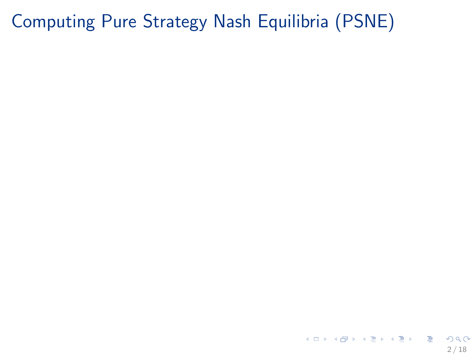K ロ ▶ K @ ▶ K 할 ▶ K 할 ▶ 이 할 → 900 2 / 18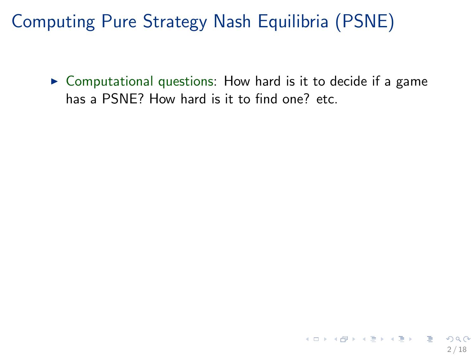$\triangleright$  Computational questions: How hard is it to decide if a game has a PSNE? How hard is it to find one? etc.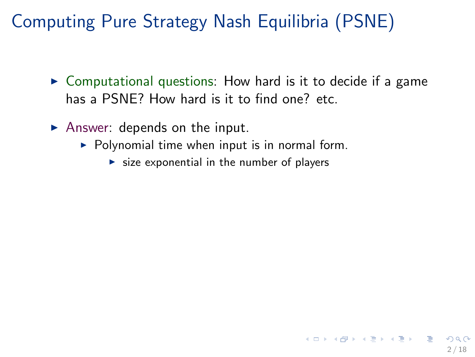$\triangleright$  Computational questions: How hard is it to decide if a game has a PSNE? How hard is it to find one? etc.

2 / 18

イロト 不優 ト 不思 ト 不思 トー 温

- $\blacktriangleright$  Answer: depends on the input.
	- $\triangleright$  Polynomial time when input is in normal form.
		- $\triangleright$  size exponential in the number of players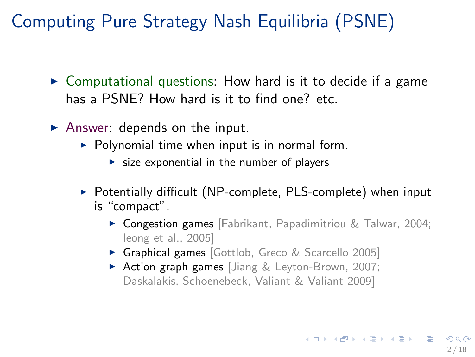- $\triangleright$  Computational questions: How hard is it to decide if a game has a PSNE? How hard is it to find one? etc.
- $\blacktriangleright$  Answer: depends on the input.
	- $\triangleright$  Polynomial time when input is in normal form.
		- $\triangleright$  size exponential in the number of players
	- ▶ Potentially difficult (NP-complete, PLS-complete) when input is "compact".
		- ▶ Congestion games [Fabrikant, Papadimitriou & Talwar, 2004; Ieong et al., 2005]
		- ▶ Graphical games [Gottlob, Greco & Scarcello 2005]
		- ▶ Action graph games [Jiang & Leyton-Brown, 2007; Daskalakis, Schoenebeck, Valiant & Valiant 2009]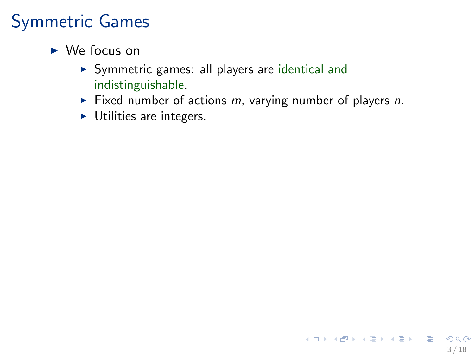- $\triangleright$  We focus on
	- ▶ Symmetric games: all players are identical and indistinguishable.
	- ◮ Fixed number of actions *m*, varying number of players *n*.

3 / 18

K ロ X K @ X K 할 X K 할 X - 할 X YO Q @

 $\blacktriangleright$  Utilities are integers.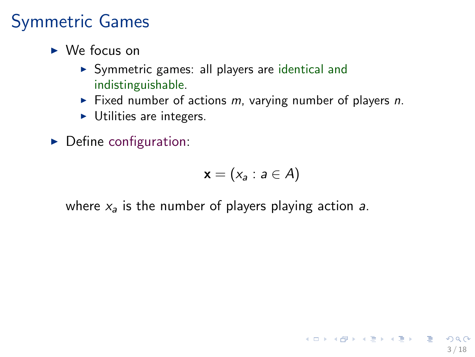- $\triangleright$  We focus on
	- $\triangleright$  Symmetric games: all players are identical and indistinguishable.
	- ◮ Fixed number of actions *m*, varying number of players *n*.
	- $\blacktriangleright$  Utilities are integers.
- $\triangleright$  Define configuration:

$$
\mathbf{x}=(x_a: a\in A)
$$

where *x*<sup>a</sup> is the number of players playing action *a*.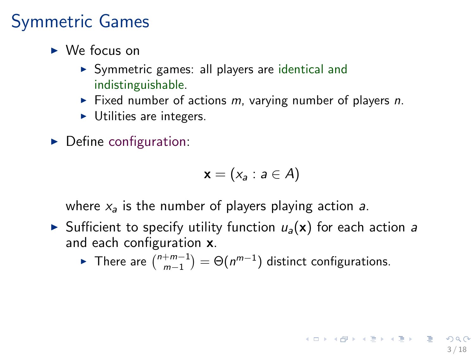- $\triangleright$  We focus on
	- ▶ Symmetric games: all players are identical and indistinguishable.
	- ◮ Fixed number of actions *m*, varying number of players *n*.
	- $\blacktriangleright$  Utilities are integers.
- $\triangleright$  Define configuration:

$$
\mathbf{x}=(x_a: a\in A)
$$

where  $x_a$  is the number of players playing action  $a$ .

- $\triangleright$  Sufficient to specify utility function  $u_a(\mathbf{x})$  for each action *a* and each configuration x.
	- ► There are  $\binom{n+m-1}{m-1} = \Theta(n^{m-1})$  distinct configurations.

3 / 18

K ロ ▶ K @ ▶ K 할 ▶ K 할 ▶ 이 할 → 9 Q Q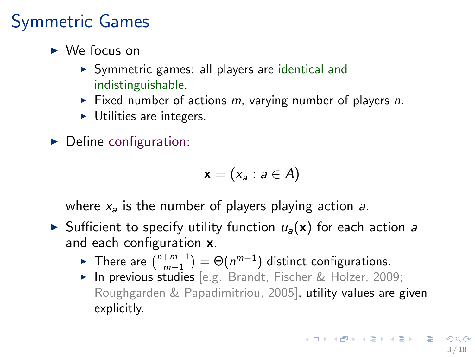- $\triangleright$  We focus on
	- ▶ Symmetric games: all players are identical and indistinguishable.
	- ◮ Fixed number of actions *m*, varying number of players *n*.
	- $\blacktriangleright$  Utilities are integers.
- $\triangleright$  Define configuration:

$$
\mathbf{x}=(x_a: a\in A)
$$

where  $x_a$  is the number of players playing action  $a$ .

- $\triangleright$  Sufficient to specify utility function  $u_a(\mathbf{x})$  for each action *a* and each configuration x.
	- ► There are  $\binom{n+m-1}{m-1} = \Theta(n^{m-1})$  distinct configurations.
	- ▶ In previous studies [e.g. Brandt, Fischer & Holzer, 2009; Roughgarden & Papadimitriou, 2005], utility values are given explicitly.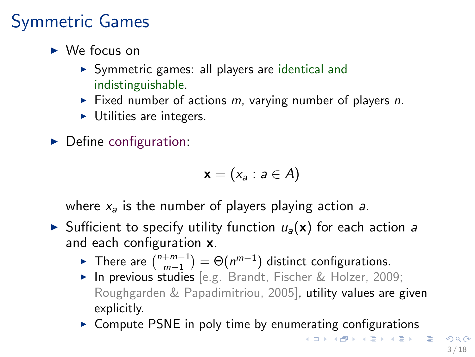- $\triangleright$  We focus on
	- ▶ Symmetric games: all players are identical and indistinguishable.
	- ◮ Fixed number of actions *m*, varying number of players *n*.
	- $\blacktriangleright$  Utilities are integers.
- $\triangleright$  Define configuration:

$$
\mathbf{x}=(x_a: a\in A)
$$

where  $x_a$  is the number of players playing action  $a$ .

- $\triangleright$  Sufficient to specify utility function  $u_a(\mathbf{x})$  for each action *a* and each configuration x.
	- ► There are  $\binom{n+m-1}{m-1} = \Theta(n^{m-1})$  distinct configurations.
	- ▶ In previous studies [e.g. Brandt, Fischer & Holzer, 2009; Roughgarden & Papadimitriou, 2005], utility values are given explicitly.
	- ► Compute PSNE in poly time by enumerating configurations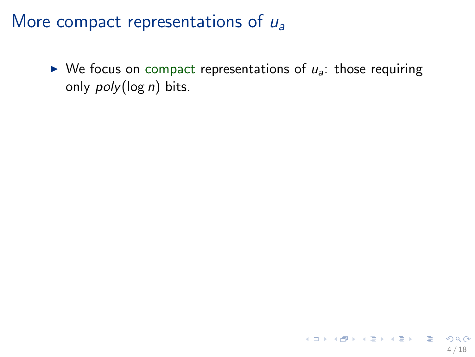$\triangleright$  We focus on compact representations of  $u_a$ : those requiring only *poly*(log *n*) bits.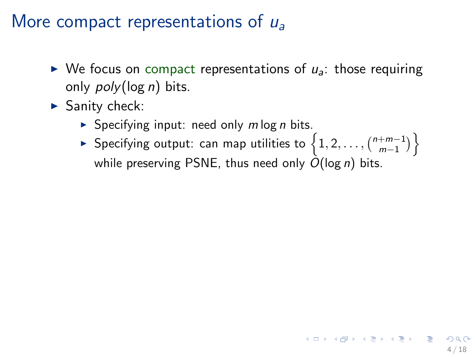- $\triangleright$  We focus on compact representations of  $u_a$ : those requiring only *poly*(log *n*) bits.
- $\blacktriangleright$  Sanity check:
	- ► Specifying input: need only *m* log *n* bits.
	- ► Specifying output: can map utilities to  $\left\{1, 2, \ldots, \binom{n+m-1}{m-1}\right\}$ while preserving PSNE, thus need only *O*(log *n*) bits.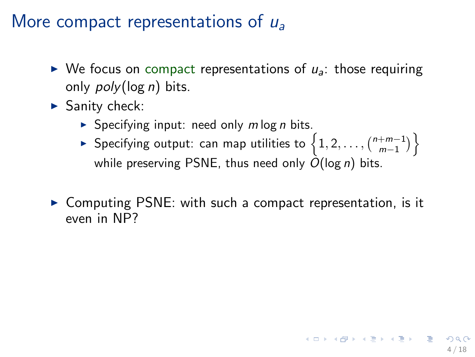- $\triangleright$  We focus on compact representations of  $u_a$ : those requiring only *poly*(log *n*) bits.
- $\blacktriangleright$  Sanity check:
	- ► Specifying input: need only *m* log *n* bits.
	- ► Specifying output: can map utilities to  $\left\{1, 2, \ldots, \binom{n+m-1}{m-1}\right\}$ while preserving PSNE, thus need only *O*(log *n*) bits.
- ▶ Computing PSNE: with such a compact representation, is it even in NP?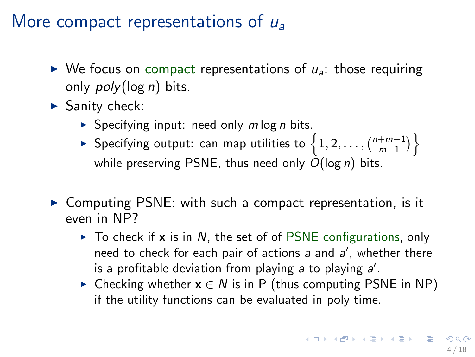- $\triangleright$  We focus on compact representations of  $u_a$ : those requiring only *poly*(log *n*) bits.
- $\blacktriangleright$  Sanity check:
	- ► Specifying input: need only *m* log *n* bits.
	- ► Specifying output: can map utilities to  $\left\{1, 2, \ldots, \binom{n+m-1}{m-1}\right\}$ while preserving PSNE, thus need only *O*(log *n*) bits.
- ▶ Computing PSNE: with such a compact representation, is it even in NP?
	- ► To check if **x** is in *N*, the set of of PSNE configurations, only need to check for each pair of actions *a* and *a* ′ , whether there is a profitable deviation from playing a to playing a'.
	- ► Checking whether  $x \in N$  is in P (thus computing PSNE in NP) if the utility functions can be evaluated in poly time.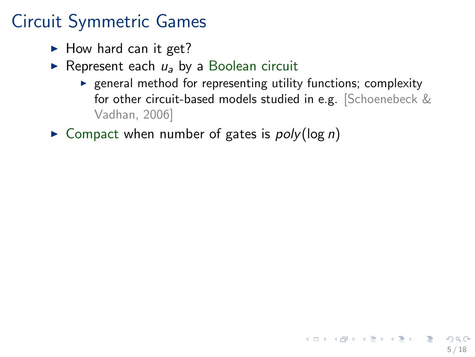### Circuit Symmetric Games

- $\blacktriangleright$  How hard can it get?
- ► Represent each *u<sub>a</sub>* by a Boolean circuit
	- $\blacktriangleright$  general method for representing utility functions; complexity for other circuit-based models studied in e.g. [Schoenebeck & Vadhan, 2006]
- ► Compact when number of gates is *poly*(log *n*)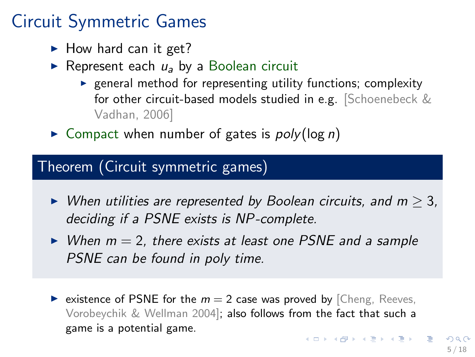### Circuit Symmetric Games

- $\blacktriangleright$  How hard can it get?
- ► Represent each *u<sub>a</sub>* by a Boolean circuit
	- $\blacktriangleright$  general method for representing utility functions; complexity for other circuit-based models studied in e.g. [Schoenebeck & Vadhan, 2006]
- ► Compact when number of gates is *poly*(log *n*)

#### Theorem (Circuit symmetric games)

- ◮ *When utilities are represented by Boolean circuits, and m* ≥ 3*, deciding if a PSNE exists is NP -complete.*
- ◮ *When m* = 2*, there exists at least one PSNE and a sample PSNE can be found in poly time.*
- ightharpoonup existence of PSNE for the  $m = 2$  case was proved by [Cheng, Reeves, Vorobeychik & Wellman 2004]; also follows from the fact that such a game is a potential game. K ロ X K (日) X X ミ X X ミ X ミ コ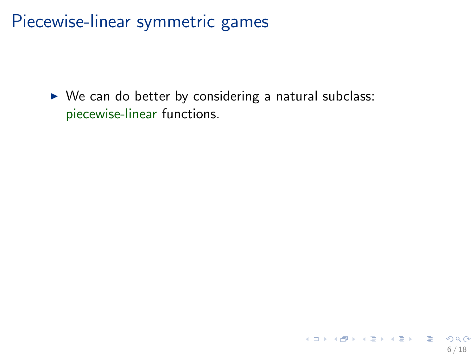Piecewise-linear symmetric games

 $\triangleright$  We can do better by considering a natural subclass: piecewise-linear functions.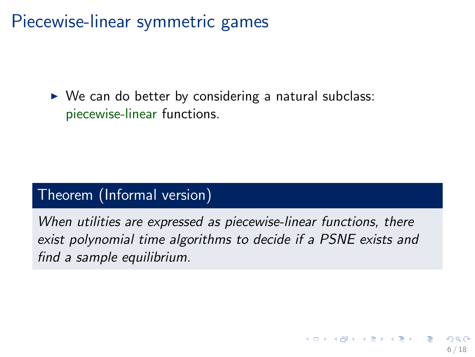Piecewise-linear symmetric games

 $\triangleright$  We can do better by considering a natural subclass: piecewise-linear functions.

#### Theorem (Informal version)

*When utilities are expressed as piecewise-linear functions, there exist polynomial time algorithms to decide if a PSNE exists and find a sample equilibrium.*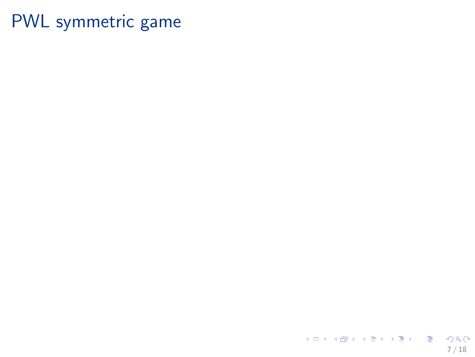K ロ X イ団 X X ミ X X モ X ミ コ X の Q (V) 7 / 18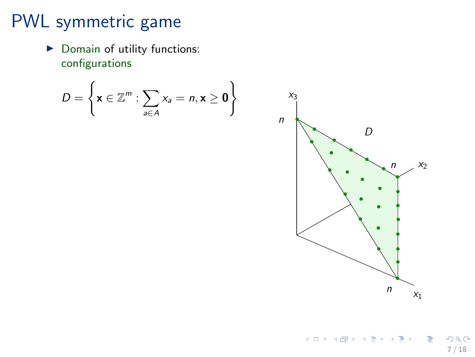▶ Domain of utility functions: configurations

$$
D = \left\{ \mathbf{x} \in \mathbb{Z}^m : \sum_{a \in A} x_a = n, \mathbf{x} \ge \mathbf{0} \right\}
$$

K ロ > K @ > K 할 > K 할 > 1 할 > 1 ⊙ Q Q\* 7 / 18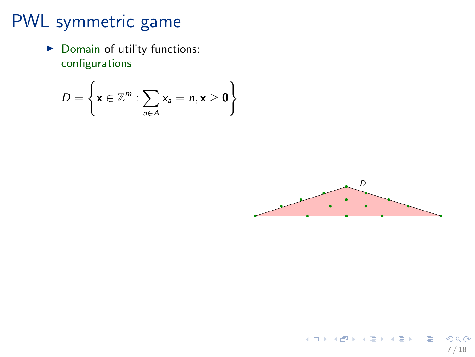▶ Domain of utility functions: configurations

$$
D = \left\{ \mathbf{x} \in \mathbb{Z}^m : \sum_{a \in A} x_a = n, \mathbf{x} \ge \mathbf{0} \right\}
$$

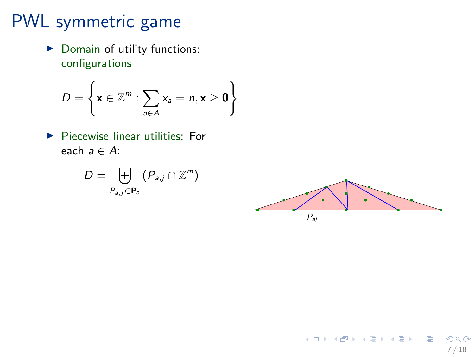▶ Domain of utility functions: configurations

$$
D = \left\{ \mathbf{x} \in \mathbb{Z}^m : \sum_{a \in A} x_a = n, \mathbf{x} \ge \mathbf{0} \right\}
$$

 $\blacktriangleright$  Piecewise linear utilities: For each *a* ∈ *A*:

$$
D=\biguplus_{P_{a,j}\in\mathbf{P}_a}\left(P_{a,j}\cap\mathbb{Z}^m\right)
$$

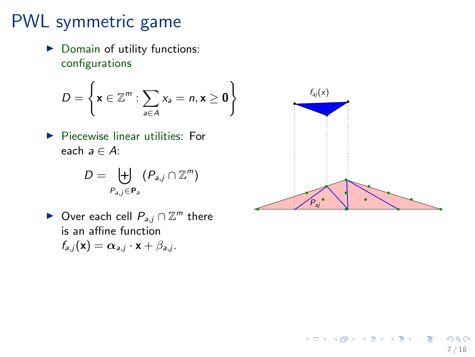▶ Domain of utility functions: configurations

$$
D = \left\{ \mathbf{x} \in \mathbb{Z}^m : \sum_{a \in A} x_a = n, \mathbf{x} \ge \mathbf{0} \right\}
$$

▶ Piecewise linear utilities: For each *a* ∈ *A*:

$$
D=\biguplus_{P_{a,j}\in\mathbf{P}_a}\left(P_{a,j}\cap\mathbb{Z}^m\right)
$$

► Over each cell  $P_{a,j} \cap \mathbb{Z}^m$  there is an affine function  $f_{a,j}(\mathbf{x}) = \alpha_{a,j} \cdot \mathbf{x} + \beta_{a,j}.$ 



K ロ > K d' > K 글 > K 글 > H 글

7 / 18

 $200$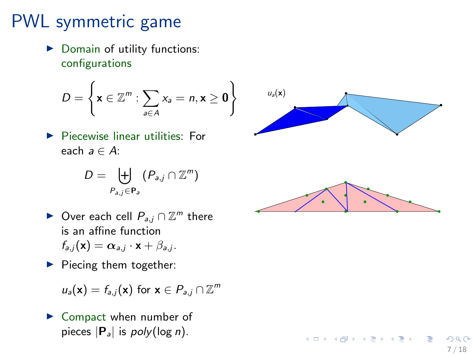▶ Domain of utility functions: configurations

$$
D = \left\{ \mathbf{x} \in \mathbb{Z}^m : \sum_{a \in A} x_a = n, \mathbf{x} \ge \mathbf{0} \right\}
$$

▶ Piecewise linear utilities: For each *a* ∈ *A*:

$$
D=\biguplus_{P_{a,j}\in\mathbf{P}_a}\left(P_{a,j}\cap\mathbb{Z}^m\right)
$$

- ► Over each cell  $P_{a,j} \cap \mathbb{Z}^m$  there  $\frac{1}{2}$  is an affine function  $f_{a,j}(\mathbf{x}) = \boldsymbol{\alpha}_{a,j} \cdot \mathbf{x} + \beta_{a,j}.$
- $\blacktriangleright$  Piecing them together:

$$
u_a(\mathbf{x}) = f_{a,j}(\mathbf{x}) \text{ for } \mathbf{x} \in P_{a,j} \cap \mathbb{Z}^m
$$

 $\triangleright$  Compact when number of pieces |P <sup>a</sup>| is *poly*(log *n*).



イロメ イ部メ イヨメ イヨメ

7 / 18

 $QQ$ 

D.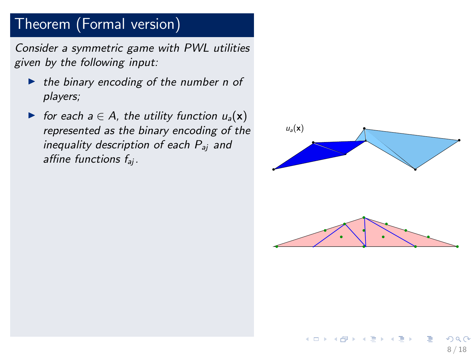#### Theorem (Formal version)

*Consider a symmetric game with PWL utilities given by the following input:*

- ◮ *the binary encoding of the number n of players;*
- $\triangleright$  *for each a* ∈ *A*, the utility function  $u_a(\mathbf{x})$ *represented as the binary encoding of the inequality description of each P*aj *and affine functions f*aj*.*

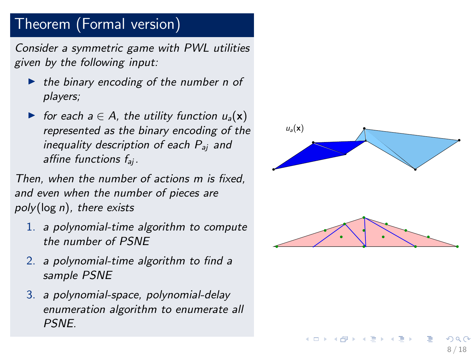#### Theorem (Formal version)

*Consider a symmetric game with PWL utilities given by the following input:*

- ◮ *the binary encoding of the number n of players;*
- ► for each  $a \in A$ , the utility function  $u_a(\mathbf{x})$ *represented as the binary encoding of the inequality description of each P*aj *and affine functions f*aj *.*

*Then, when the number of actions m is fixed, and even when the number of pieces are poly*(log *n* )*, there exists*

- 1. *a polynomial-time algorithm to compute the number of PSNE*
- 2. *a polynomial-time algorithm to find a sample PSNE*
- 3. *a polynomial-space, polynomial-delay enumeration algorithm to enumerate all PSNE.*



イロト イ部 トメ ヨ トメ ヨト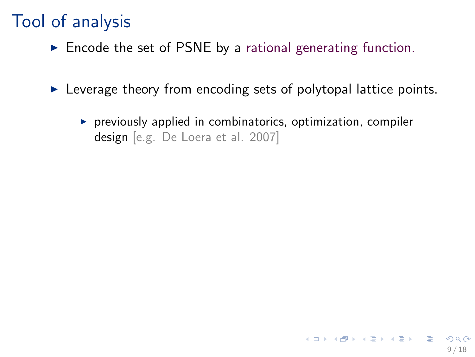### Tool of analysis

- $\triangleright$  Encode the set of PSNE by a rational generating function.
- $\triangleright$  Leverage theory from encoding sets of polytopal lattice points.
	- $\triangleright$  previously applied in combinatorics, optimization, compiler design [e.g. De Loera et al. 2007]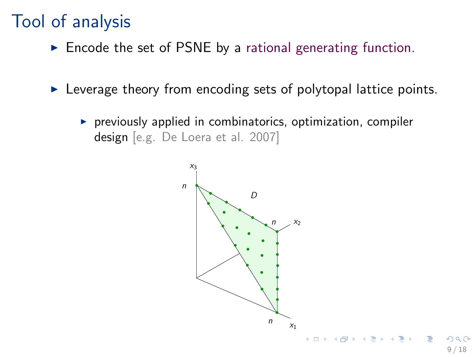### Tool of analysis

- $\triangleright$  Encode the set of PSNE by a rational generating function.
- $\triangleright$  Leverage theory from encoding sets of polytopal lattice points.
	- $\triangleright$  previously applied in combinatorics, optimization, compiler design [e.g. De Loera et al. 2007]

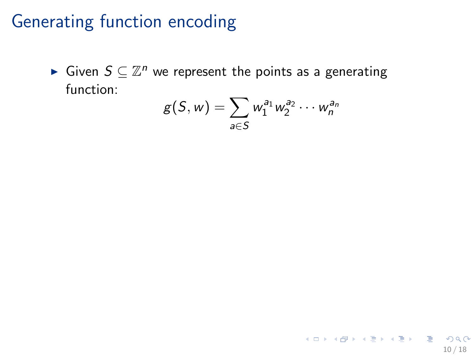► Given  $S \subseteq \mathbb{Z}^n$  we represent the points as a generating function:

$$
g(S, w) = \sum_{a \in S} w_1^{a_1} w_2^{a_2} \cdots w_n^{a_n}
$$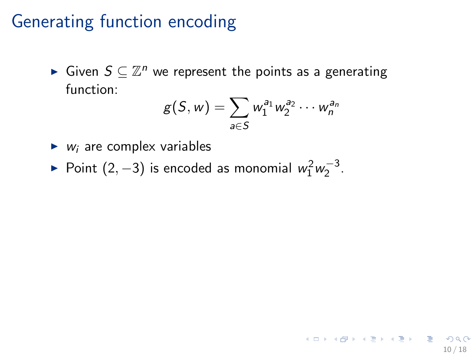► Given  $S \subseteq \mathbb{Z}^n$  we represent the points as a generating function:

$$
g(S, w) = \sum_{a \in S} w_1^{a_1} w_2^{a_2} \cdots w_n^{a_n}
$$

- $\blacktriangleright$  *w<sub>i</sub>* are complex variables
- ► Point  $(2, -3)$  is encoded as monomial  $w_1^2 w_2^{-3}$ .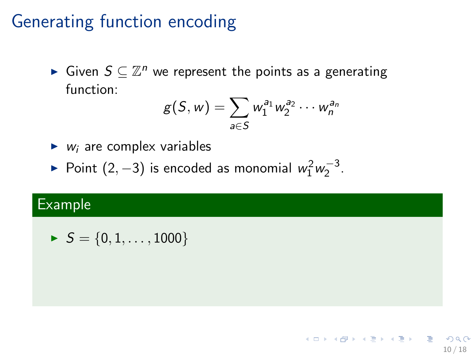► Given  $S \subseteq \mathbb{Z}^n$  we represent the points as a generating function:

$$
g(S, w) = \sum_{a \in S} w_1^{a_1} w_2^{a_2} \cdots w_n^{a_n}
$$

- $\blacktriangleright$  *w<sub>i</sub>* are complex variables
- ► Point  $(2, -3)$  is encoded as monomial  $w_1^2 w_2^{-3}$ .

#### Example

 $\blacktriangleright$  *S* = {0, 1, . . . , 1000}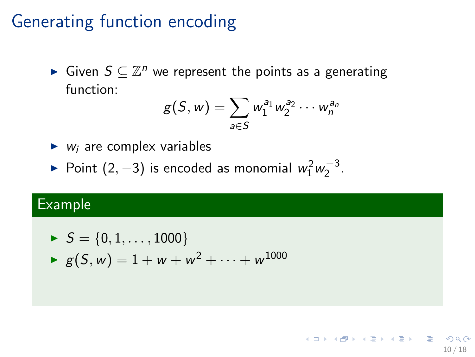► Given  $S \subseteq \mathbb{Z}^n$  we represent the points as a generating function:

$$
g(S, w) = \sum_{a \in S} w_1^{a_1} w_2^{a_2} \cdots w_n^{a_n}
$$

- $\blacktriangleright$  *w<sub>i</sub>* are complex variables
- ► Point  $(2, -3)$  is encoded as monomial  $w_1^2 w_2^{-3}$ .

#### Example

$$
S = \{0, 1, ..., 1000\}
$$
  
\n
$$
g(S, w) = 1 + w + w^{2} + \dots + w^{1000}
$$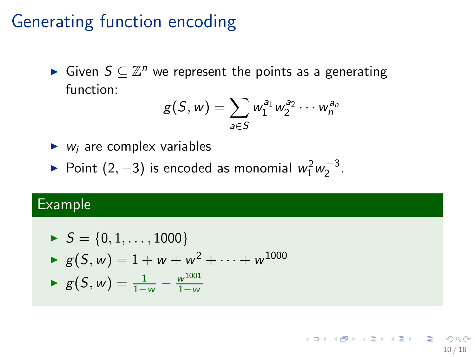► Given  $S \subseteq \mathbb{Z}^n$  we represent the points as a generating function:

$$
g(S, w) = \sum_{a \in S} w_1^{a_1} w_2^{a_2} \cdots w_n^{a_n}
$$

- $\blacktriangleright$  *w<sub>i</sub>* are complex variables
- ► Point  $(2, -3)$  is encoded as monomial  $w_1^2 w_2^{-3}$ .

#### Example

► 
$$
S = \{0, 1, ..., 1000\}
$$
  
\n►  $g(S, w) = 1 + w + w^2 + ... + w^{1000}$   
\n►  $g(S, w) = \frac{1}{1 - w} - \frac{w^{1001}}{1 - w}$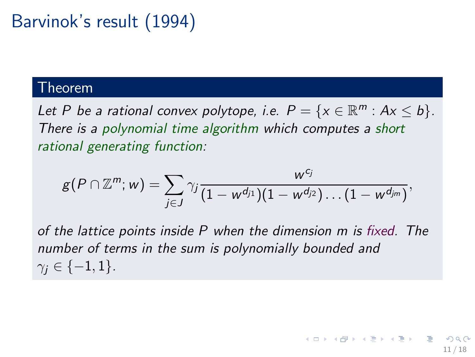# Barvinok's result (1994)

#### Theorem

Let P be a rational convex polytope, i.e.  $P = \{x \in \mathbb{R}^m : Ax \leq b\}.$ *There is a polynomial time algorithm which computes a short rational generating function:*

$$
g(P\cap \mathbb{Z}^m;w)=\sum_{j\in J}\gamma_j \frac{w^{c_j}}{(1-w^{d_{j1}})(1-w^{d_{j2}})\dots (1-w^{d_{jm}})},
$$

*of the lattice points inside P when the dimension m is fixed. The number of terms in the sum is polynomially bounded and*  $\gamma_i \in \{-1, 1\}.$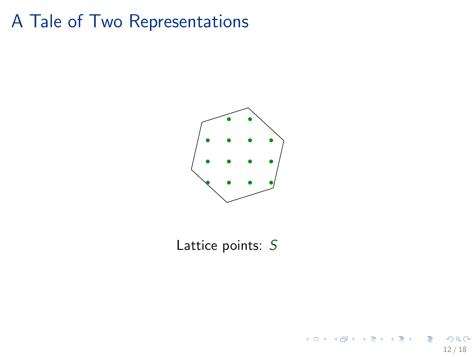#### A Tale of Two Representations



Lattice points: *S*

12 / 18

 $298$ 

目

イロメ イ部メ イヨメ イヨメ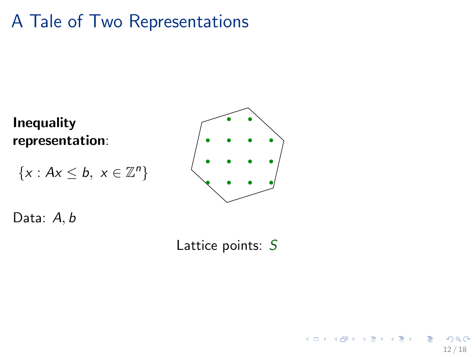### A Tale of Two Representations

Inequality representation:

$$
\{x: Ax \leq b, \ x \in \mathbb{Z}^n\}
$$



Data: *A*, *b*

Lattice points: *S*

12 / 18

 $QQ$ 

э

イロメ イ部メ イヨメ イヨメ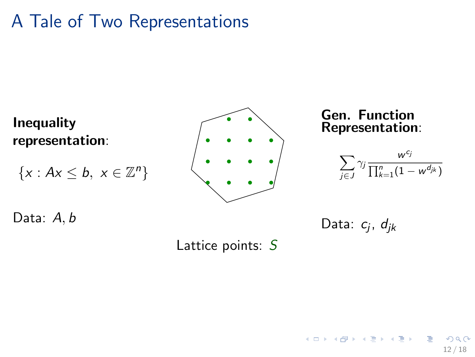### A Tale of Two Representations



12 / 18

 $200$ 

イロメ イ部メ イヨメ イヨメ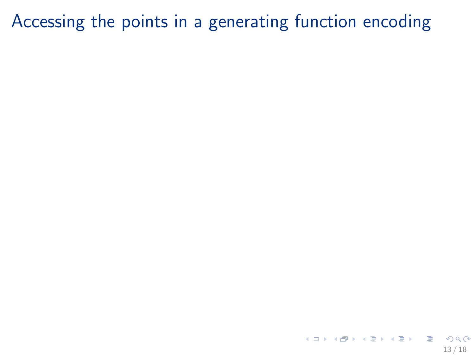K ロ ▶ K @ ▶ K 할 ▶ K 할 ▶ 이 할 → 900 13 / 18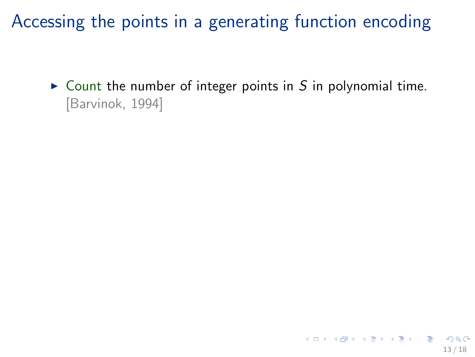$\triangleright$  Count the number of integer points in S in polynomial time. [Barvinok, 1994]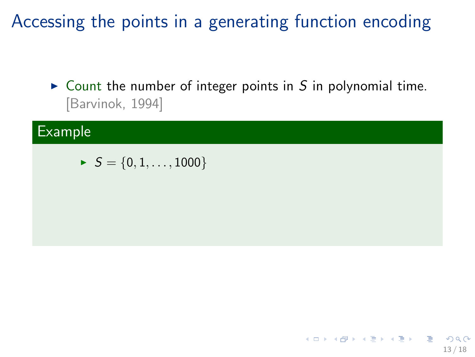► Count the number of integer points in S in polynomial time. [Barvinok, 1994]

#### Example

$$
\quad \blacktriangleright \ \ S = \{0,1,\ldots,1000\}
$$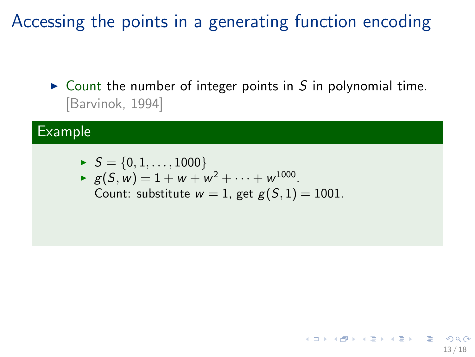► Count the number of integer points in S in polynomial time. [Barvinok, 1994]

13 / 18

K ロ ▶ K @ ▶ K 할 > K 할 > 1 할 → 9 Q Q

#### Example

$$
\quad \blacktriangleright \; S = \{0,1,\ldots,1000\}
$$

► 
$$
g(S, w) = 1 + w + w^2 + \dots + w^{1000}
$$
.  
Count: substitute  $w = 1$ , get  $g(S, 1) = 1001$ .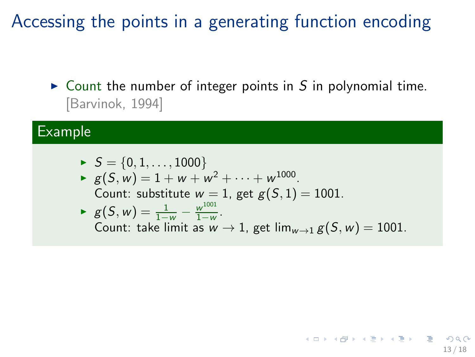► Count the number of integer points in S in polynomial time. [Barvinok, 1994]

#### Example

\n- $$
S = \{0, 1, \ldots, 1000\}
$$
\n- $g(S, w) = 1 + w + w^2 + \cdots + w^{1000}$ .
\n- Count: substitute  $w = 1$ , get  $g(S, 1) = 1001$ .
\n- $g(S, w) = \frac{1}{1 - w} - \frac{w^{1001}}{1 - w}$ .
\n- Count: take limit as  $w \to 1$ , get  $\lim_{w \to 1} g(S, w) = 1001$ .
\n

13 / 18

 $\Omega$ 

K ロンス 御 > ス ヨ > ス ヨ > 一 ヨ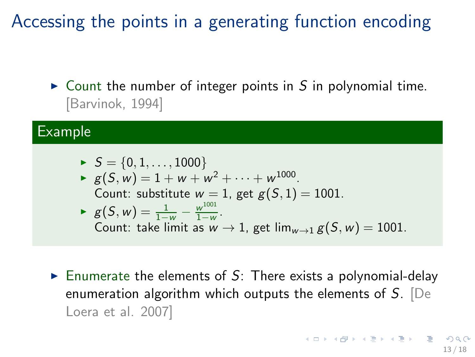$\triangleright$  Count the number of integer points in S in polynomial time. [Barvinok, 1994]

#### Example

\n- ▶ 
$$
S = \{0, 1, \ldots, 1000\}
$$
\n- ▶  $g(S, w) = 1 + w + w^2 + \cdots + w^{1000}$ .
\n- Count: substitute  $w = 1$ , get  $g(S, 1) = 1001$ .
\n- ▶  $g(S, w) = \frac{1}{1 - w} - \frac{w^{1001}}{1 - w}$ .
\n- Count: take limit as  $w \to 1$ , get  $\lim_{w \to 1} g(S, w) = 1001$ .
\n

Enumerate the elements of  $S$ : There exists a polynomial-delay enumeration algorithm which outputs the elements of *S*. [De Loera et al. 2007]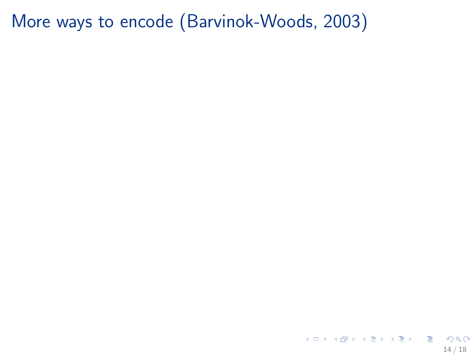K ロ ▶ K 個 ▶ K ミ ▶ K ミ ▶ │ 큰 │ K 9 Q Q 14 / 18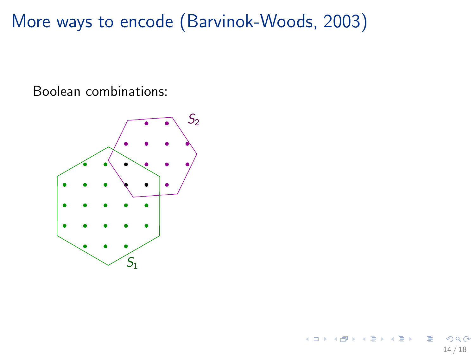Boolean combinations:

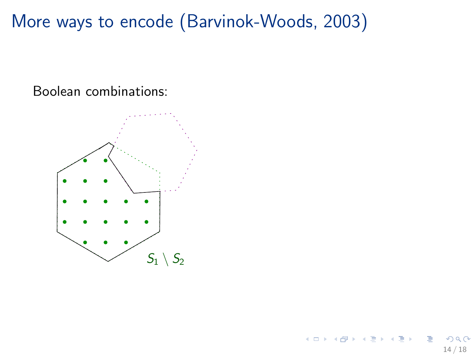Boolean combinations:

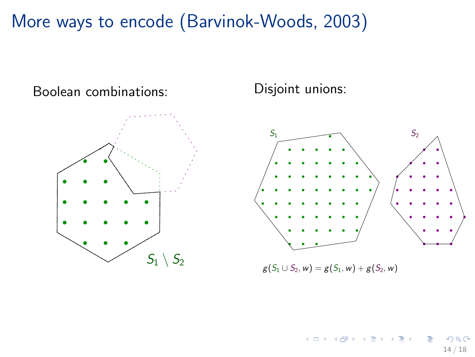Boolean combinations:



Disjoint unions:



 $g(S_1 \cup S_2, w) = g(S_1, w) + g(S_2, w)$ 

そロト  $\mathcal{A} \cap \mathbb{P} \rightarrow \mathcal{A} \ni \mathcal{B} \rightarrow \mathcal{A} \ni \mathcal{B}$  $\Omega$ 14 / 18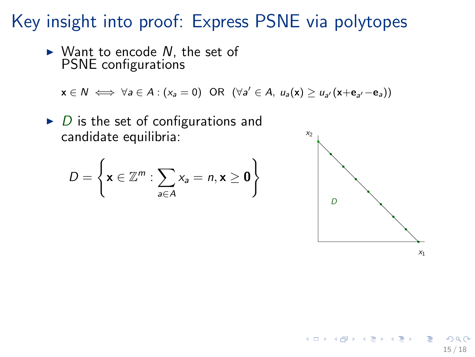Key insight into proof: Express PSNE via polytopes

► Want to encode *N*, the set of PSNE configurations

 $x \in N \iff \forall a \in A : (x_a = 0) \text{ OR } (\forall a' \in A, u_a(x) \geq u_{a'}(x + e_{a'} - e_a))$ 

 $\triangleright$  *D* is the set of configurations and candidate equilibria:

$$
D = \left\{ \mathbf{x} \in \mathbb{Z}^m : \sum_{a \in A} x_a = n, \mathbf{x} \ge \mathbf{0} \right\}
$$



メロメ メ都 メメ きょくきょ

 $X<sub>1</sub>$ 

15 / 18

 $200$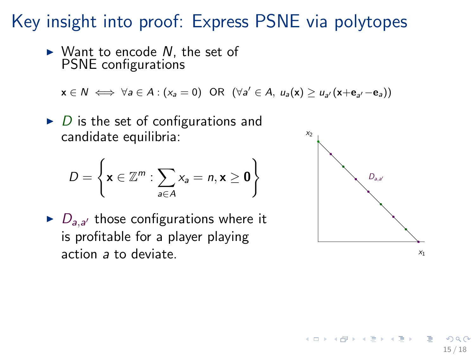Key insight into proof: Express PSNE via polytopes

► Want to encode N, the set of PSNE configurations

 $x \in N \iff \forall a \in A : (x_a = 0) \text{ OR } (\forall a' \in A, u_a(x) \geq u_{a'}(x + e_{a'} - e_a))$ 

 $\triangleright$  *D* is the set of configurations and candidate equilibria:

$$
D = \left\{ \mathbf{x} \in \mathbb{Z}^m : \sum_{a \in A} x_a = n, \mathbf{x} \ge \mathbf{0} \right\}
$$

 $\blacktriangleright$   $D_{a,a'}$  those configurations where it is profitable for a player playing action *a* to deviate.



イロメ イ部メ イヨメ イヨメ

15 / 18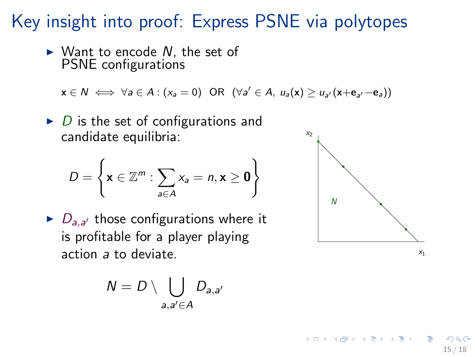Key insight into proof: Express PSNE via polytopes

► Want to encode N, the set of PSNE configurations

 $x \in N \iff \forall a \in A : (x_a = 0) \text{ OR } (\forall a' \in A, u_a(x) \geq u_{a'}(x + e_{a'} - e_a))$ 

 $\triangleright$  *D* is the set of configurations and candidate equilibria:

$$
D = \left\{ \mathbf{x} \in \mathbb{Z}^m : \sum_{a \in A} x_a = n, \mathbf{x} \ge \mathbf{0} \right\}
$$

 $\blacktriangleright$   $D_{a,a'}$  those configurations where it is profitable for a player playing action *a* to deviate.

$$
N=D\setminus \bigcup_{a,a'\in A}D_{a,a'}
$$



イロメ イ部メ イヨメ イヨメ

15 / 18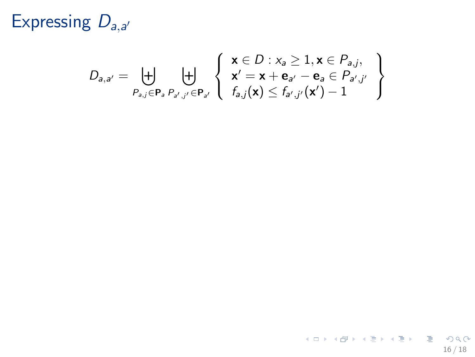$$
D_{a,a'} = \biguplus_{P_{a,j} \in \mathbf{P}_a} \biguplus_{P_{a',j'} \in \mathbf{P}_{a'}} \left\{ \begin{array}{l} \mathbf{x} \in D : x_a \geq 1, \mathbf{x} \in P_{a,j}, \\ \mathbf{x'} = \mathbf{x} + \mathbf{e}_{a'} - \mathbf{e}_a \in P_{a',j'} \\ f_{a,j}(\mathbf{x}) \leq f_{a',j'}(\mathbf{x'}) - 1 \end{array} \right\}
$$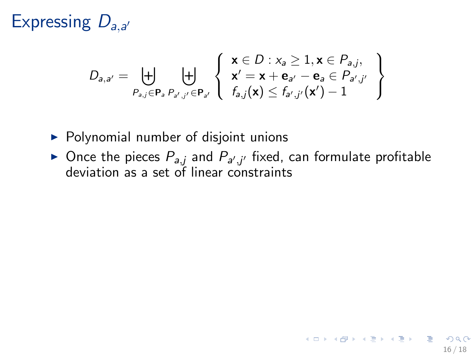$$
D_{a,a'} = \biguplus_{P_{a,j} \in \mathbf{P}_a} \biguplus_{P_{a',j'} \in \mathbf{P}_{a'}} \left\{ \begin{array}{l} \mathbf{x} \in D : x_a \geq 1, \mathbf{x} \in P_{a,j}, \\ \mathbf{x'} = \mathbf{x} + \mathbf{e}_{a'} - \mathbf{e}_a \in P_{a',j'} \\ f_{a,j}(\mathbf{x}) \leq f_{a',j'}(\mathbf{x'}) - 1 \end{array} \right\}
$$

- ▶ Polynomial number of disjoint unions
- ► Once the pieces  $P_{a,j}$  and  $P_{a',j'}$  fixed, can formulate profitable deviation as a set of linear constraints

16 / 18

K ロ ▶ K @ ▶ K 할 ▶ K 할 ▶ → 할 → 9 Q Q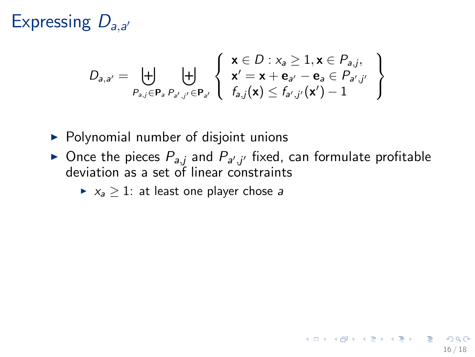$$
D_{a,a'} = \biguplus_{P_{a,j} \in \mathbf{P}_a} \biguplus_{P_{a',j'} \in \mathbf{P}_{a'}} \left\{ \begin{array}{l} \mathbf{x} \in D : x_a \geq 1, \mathbf{x} \in P_{a,j}, \\ \mathbf{x'} = \mathbf{x} + \mathbf{e}_{a'} - \mathbf{e}_a \in P_{a',j'} \\ f_{a,j}(\mathbf{x}) \leq f_{a',j'}(\mathbf{x'}) - 1 \end{array} \right\}
$$

- ▶ Polynomial number of disjoint unions
- ► Once the pieces  $P_{a,j}$  and  $P_{a',j'}$  fixed, can formulate profitable deviation as a set of linear constraints
	- $\blacktriangleright$   $x_a > 1$ : at least one player chose *a*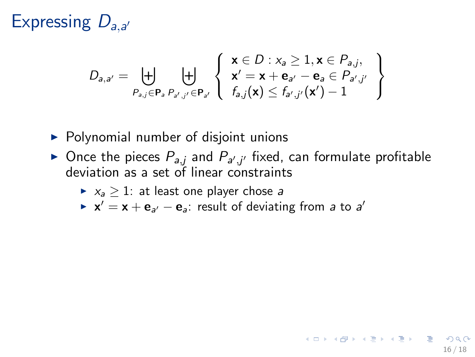$$
D_{\mathsf{a},\mathsf{a}'} = \biguplus_{P_{\mathsf{a},j} \in \mathbf{P}_{\mathsf{a}}, P_{\mathsf{a}',j'} \in \mathbf{P}_{\mathsf{a}'}} \left\{ \begin{array}{l} \mathbf{x} \in D : x_{\mathsf{a}} \geq 1, \mathbf{x} \in P_{\mathsf{a},j}, \\ \mathbf{x}' = \mathbf{x} + \mathbf{e}_{\mathsf{a}'} - \mathbf{e}_{\mathsf{a}} \in P_{\mathsf{a}',j'} \\ f_{\mathsf{a},j}(\mathbf{x}) \leq f_{\mathsf{a}',j'}(\mathbf{x}') - 1 \end{array} \right\}
$$

- $\triangleright$  Polynomial number of disjoint unions
- ► Once the pieces  $P_{a,j}$  and  $P_{a',j'}$  fixed, can formulate profitable deviation as a set of linear constraints

16 / 18

K ロ ▶ K @ ▶ K 할 > K 할 > 1 할 → 9 Q Q

- $\blacktriangleright$   $x_a > 1$ : at least one player chose *a*
- $\mathbf{x}' = \mathbf{x} + \mathbf{e}_{a'} \mathbf{e}_{a}$ : result of deviating from *a* to *a'*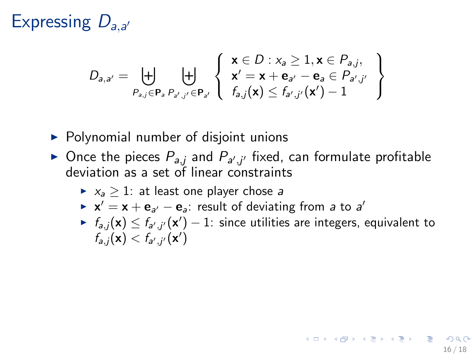$$
D_{\mathsf{a},\mathsf{a}'} = \biguplus_{P_{\mathsf{a},j} \in \mathbf{P}_{\mathsf{a}}, P_{\mathsf{a}',j'} \in \mathbf{P}_{\mathsf{a}'}} \left\{ \begin{array}{l} \mathbf{x} \in D : x_{\mathsf{a}} \geq 1, \mathbf{x} \in P_{\mathsf{a},j}, \\ \mathbf{x}' = \mathbf{x} + \mathbf{e}_{\mathsf{a}'} - \mathbf{e}_{\mathsf{a}} \in P_{\mathsf{a}',j'} \\ f_{\mathsf{a},j}(\mathbf{x}) \leq f_{\mathsf{a}',j'}(\mathbf{x}') - 1 \end{array} \right\}
$$

- $\triangleright$  Polynomial number of disjoint unions
- ► Once the pieces  $P_{a,j}$  and  $P_{a',j'}$  fixed, can formulate profitable deviation as a set of linear constraints
	- $\triangleright$   $x_a > 1$ : at least one player chose *a*
	- $\mathbf{x}' = \mathbf{x} + \mathbf{e}_{a'} \mathbf{e}_{a}$ : result of deviating from *a* to *a'*
	- ►  $f_{a,j}(\mathbf{x}) \leq f_{a',j'}(\mathbf{x}') 1$ : since utilities are integers, equivalent to  $f_{a,j}(\mathbf{x}) < f_{a',j'}(\mathbf{x}')$

16 / 18

K ロ ▶ K @ ▶ K 할 > K 할 > 1 할 → 9 Q Q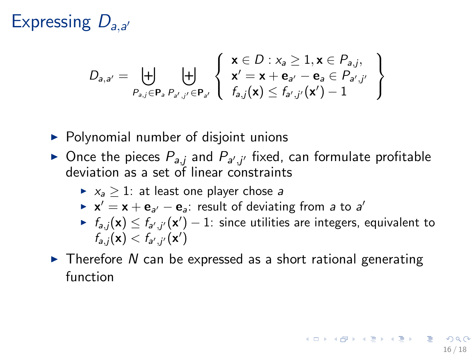$$
D_{\mathbf{a},\mathbf{a}'} = \biguplus_{P_{\mathbf{a},j} \in \mathbf{P}_{\mathbf{a}}, P_{\mathbf{a}',j'} \in \mathbf{P}_{\mathbf{a}'}} \left\{\begin{array}{l} \mathbf{x} \in D : x_{\mathbf{a}} \geq 1, \mathbf{x} \in P_{\mathbf{a},j}, \\ \mathbf{x}' = \mathbf{x} + \mathbf{e}_{\mathbf{a}'} - \mathbf{e}_{\mathbf{a}} \in P_{\mathbf{a}',j'} \\ f_{\mathbf{a},j}(\mathbf{x}) \leq f_{\mathbf{a}',j'}(\mathbf{x}') - 1 \end{array} \right\}
$$

- $\triangleright$  Polynomial number of disjoint unions
- ► Once the pieces  $P_{a,j}$  and  $P_{a',j'}$  fixed, can formulate profitable deviation as a set of linear constraints
	- $\triangleright$   $x_a > 1$ : at least one player chose *a*
	- $\mathbf{x}' = \mathbf{x} + \mathbf{e}_{a'} \mathbf{e}_{a}$ : result of deviating from *a* to *a'*
	- ►  $f_{a,j}(\mathbf{x}) \leq f_{a',j'}(\mathbf{x}') 1$ : since utilities are integers, equivalent to  $f_{a,j}(\mathbf{x}) < f_{a',j'}(\mathbf{x}')$
- ► Therefore *N* can be expressed as a short rational generating function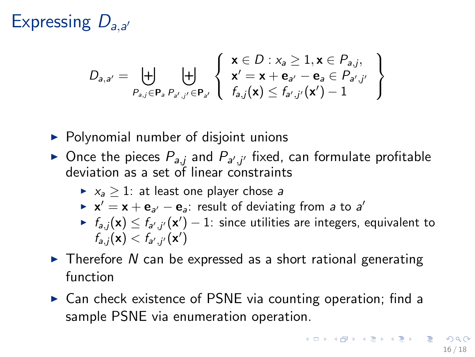$$
D_{\mathbf{a},\mathbf{a}'} = \biguplus_{P_{\mathbf{a},j} \in \mathbf{P}_{\mathbf{a}}, P_{\mathbf{a}',j'} \in \mathbf{P}_{\mathbf{a}'}} \left\{\begin{array}{l} \mathbf{x} \in D : x_{\mathbf{a}} \geq 1, \mathbf{x} \in P_{\mathbf{a},j}, \\ \mathbf{x}' = \mathbf{x} + \mathbf{e}_{\mathbf{a}'} - \mathbf{e}_{\mathbf{a}} \in P_{\mathbf{a}',j'} \\ f_{\mathbf{a},j}(\mathbf{x}) \leq f_{\mathbf{a}',j'}(\mathbf{x}') - 1 \end{array} \right\}
$$

- $\triangleright$  Polynomial number of disjoint unions
- ► Once the pieces  $P_{a,j}$  and  $P_{a',j'}$  fixed, can formulate profitable deviation as a set of linear constraints
	- $\triangleright$   $x_a > 1$ : at least one player chose *a*
	- $\mathbf{x}' = \mathbf{x} + \mathbf{e}_{a'} \mathbf{e}_{a}$ : result of deviating from *a* to *a'*
	- ►  $f_{a,j}(\mathbf{x}) \leq f_{a',j'}(\mathbf{x}') 1$ : since utilities are integers, equivalent to  $f_{a,j}(\mathbf{x}) < f_{a',j'}(\mathbf{x}')$
- ► Therefore *N* can be expressed as a short rational generating function
- ► Can check existence of PSNE via counting operation; find a sample PSNE via enumeration operation.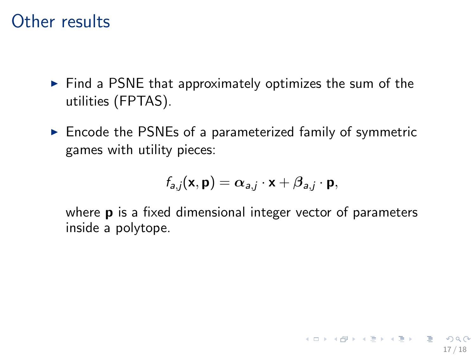#### Other results

- ► Find a PSNE that approximately optimizes the sum of the utilities (FPTAS).
- ► Encode the PSNEs of a parameterized family of symmetric games with utility pieces:

$$
f_{a,j}(\mathbf{x},\mathbf{p})=\alpha_{a,j}\cdot\mathbf{x}+\beta_{a,j}\cdot\mathbf{p},
$$

where **p** is a fixed dimensional integer vector of parameters inside a polytope.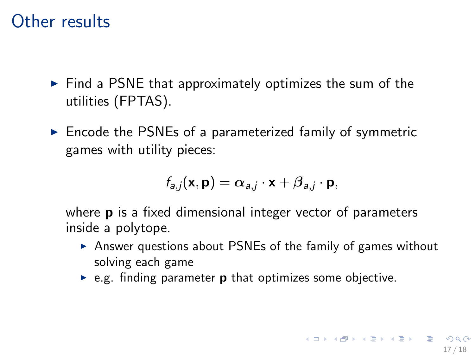#### Other results

- ► Find a PSNE that approximately optimizes the sum of the utilities (FPTAS).
- ► Encode the PSNEs of a parameterized family of symmetric games with utility pieces:

$$
f_{a,j}(\mathbf{x},\mathbf{p})=\alpha_{a,j}\cdot\mathbf{x}+\beta_{a,j}\cdot\mathbf{p},
$$

where **p** is a fixed dimensional integer vector of parameters inside a polytope.

- ► Answer questions about PSNEs of the family of games without solving each game
- $\triangleright$  e.g. finding parameter **p** that optimizes some objective.